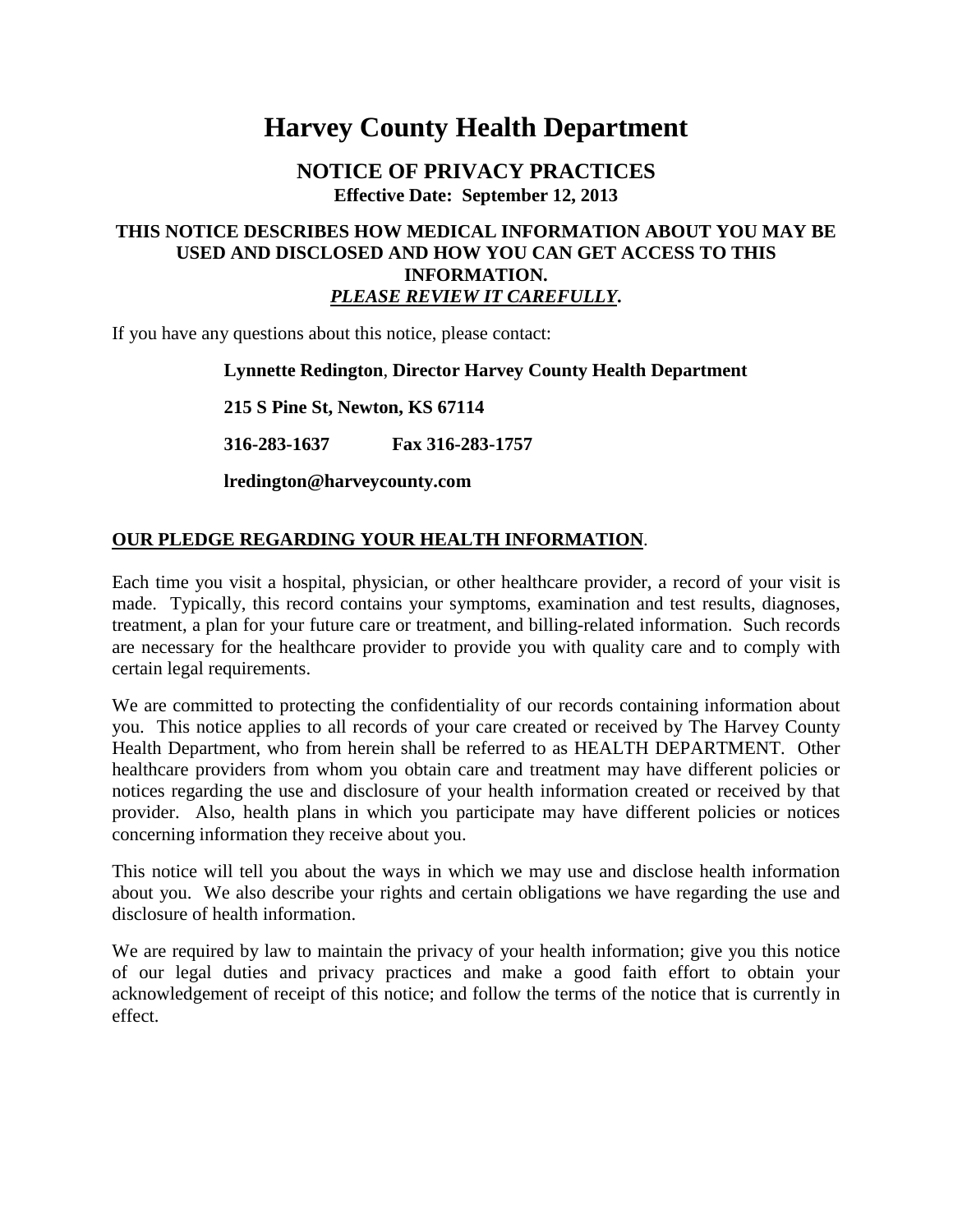# **Harvey County Health Department**

**NOTICE OF PRIVACY PRACTICES Effective Date: September 12, 2013**

#### **THIS NOTICE DESCRIBES HOW MEDICAL INFORMATION ABOUT YOU MAY BE USED AND DISCLOSED AND HOW YOU CAN GET ACCESS TO THIS INFORMATION.** *PLEASE REVIEW IT CAREFULLY***.**

If you have any questions about this notice, please contact:

**Lynnette Redington**, **Director Harvey County Health Department**

**215 S Pine St, Newton, KS 67114**

**316-283-1637 Fax 316-283-1757**

**lredington@harveycounty.com**

# **OUR PLEDGE REGARDING YOUR HEALTH INFORMATION**.

Each time you visit a hospital, physician, or other healthcare provider, a record of your visit is made. Typically, this record contains your symptoms, examination and test results, diagnoses, treatment, a plan for your future care or treatment, and billing-related information. Such records are necessary for the healthcare provider to provide you with quality care and to comply with certain legal requirements.

We are committed to protecting the confidentiality of our records containing information about you. This notice applies to all records of your care created or received by The Harvey County Health Department, who from herein shall be referred to as HEALTH DEPARTMENT. Other healthcare providers from whom you obtain care and treatment may have different policies or notices regarding the use and disclosure of your health information created or received by that provider. Also, health plans in which you participate may have different policies or notices concerning information they receive about you.

This notice will tell you about the ways in which we may use and disclose health information about you. We also describe your rights and certain obligations we have regarding the use and disclosure of health information.

We are required by law to maintain the privacy of your health information; give you this notice of our legal duties and privacy practices and make a good faith effort to obtain your acknowledgement of receipt of this notice; and follow the terms of the notice that is currently in effect.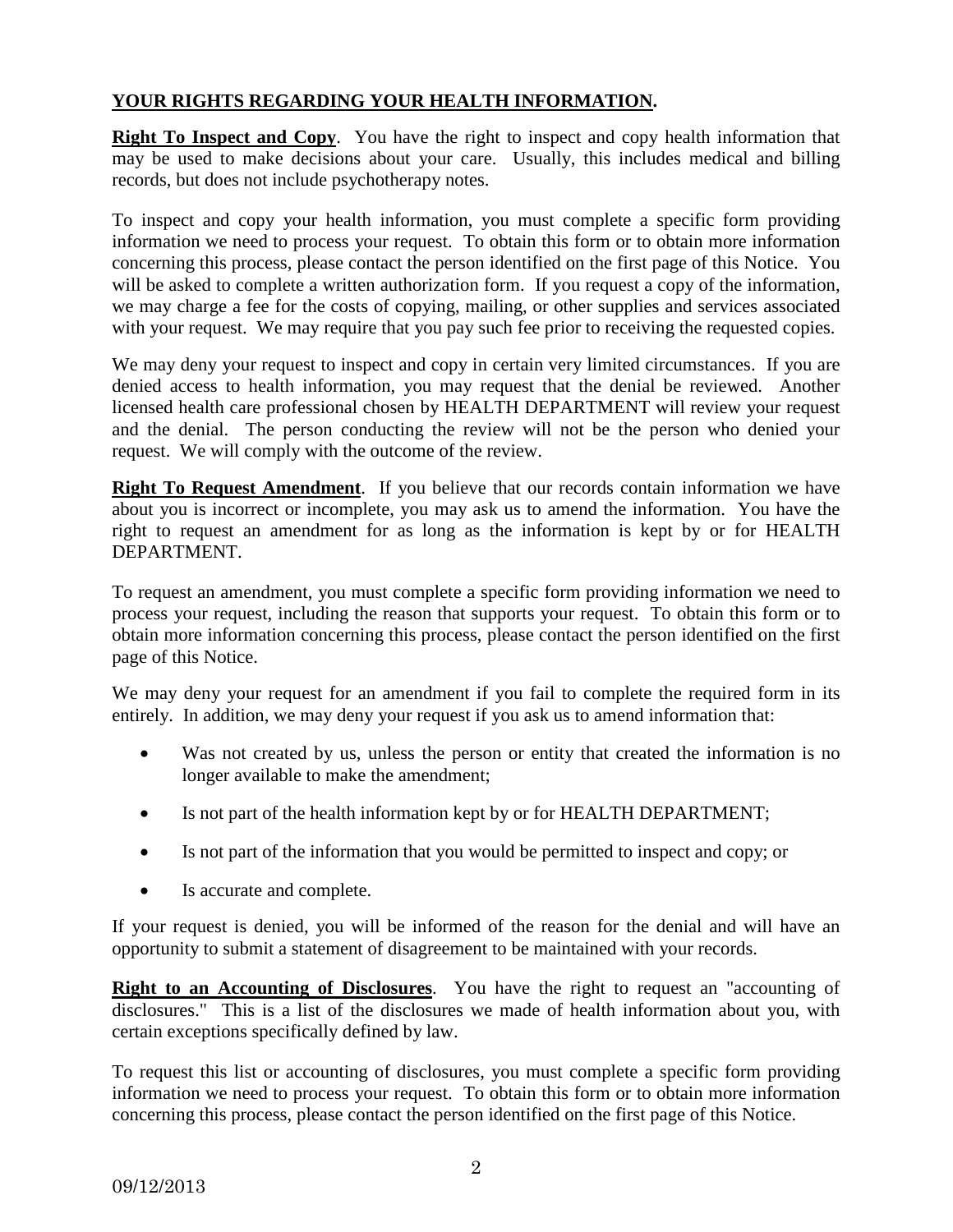# **YOUR RIGHTS REGARDING YOUR HEALTH INFORMATION.**

**Right To Inspect and Copy**. You have the right to inspect and copy health information that may be used to make decisions about your care. Usually, this includes medical and billing records, but does not include psychotherapy notes.

To inspect and copy your health information, you must complete a specific form providing information we need to process your request. To obtain this form or to obtain more information concerning this process, please contact the person identified on the first page of this Notice. You will be asked to complete a written authorization form. If you request a copy of the information, we may charge a fee for the costs of copying, mailing, or other supplies and services associated with your request. We may require that you pay such fee prior to receiving the requested copies.

We may deny your request to inspect and copy in certain very limited circumstances. If you are denied access to health information, you may request that the denial be reviewed. Another licensed health care professional chosen by HEALTH DEPARTMENT will review your request and the denial. The person conducting the review will not be the person who denied your request. We will comply with the outcome of the review.

**Right To Request Amendment**. If you believe that our records contain information we have about you is incorrect or incomplete, you may ask us to amend the information. You have the right to request an amendment for as long as the information is kept by or for HEALTH DEPARTMENT.

To request an amendment, you must complete a specific form providing information we need to process your request, including the reason that supports your request. To obtain this form or to obtain more information concerning this process, please contact the person identified on the first page of this Notice.

We may deny your request for an amendment if you fail to complete the required form in its entirely. In addition, we may deny your request if you ask us to amend information that:

- Was not created by us, unless the person or entity that created the information is no longer available to make the amendment;
- Is not part of the health information kept by or for HEALTH DEPARTMENT;
- Is not part of the information that you would be permitted to inspect and copy; or
- Is accurate and complete.

If your request is denied, you will be informed of the reason for the denial and will have an opportunity to submit a statement of disagreement to be maintained with your records.

**Right to an Accounting of Disclosures**. You have the right to request an "accounting of disclosures." This is a list of the disclosures we made of health information about you, with certain exceptions specifically defined by law.

To request this list or accounting of disclosures, you must complete a specific form providing information we need to process your request. To obtain this form or to obtain more information concerning this process, please contact the person identified on the first page of this Notice.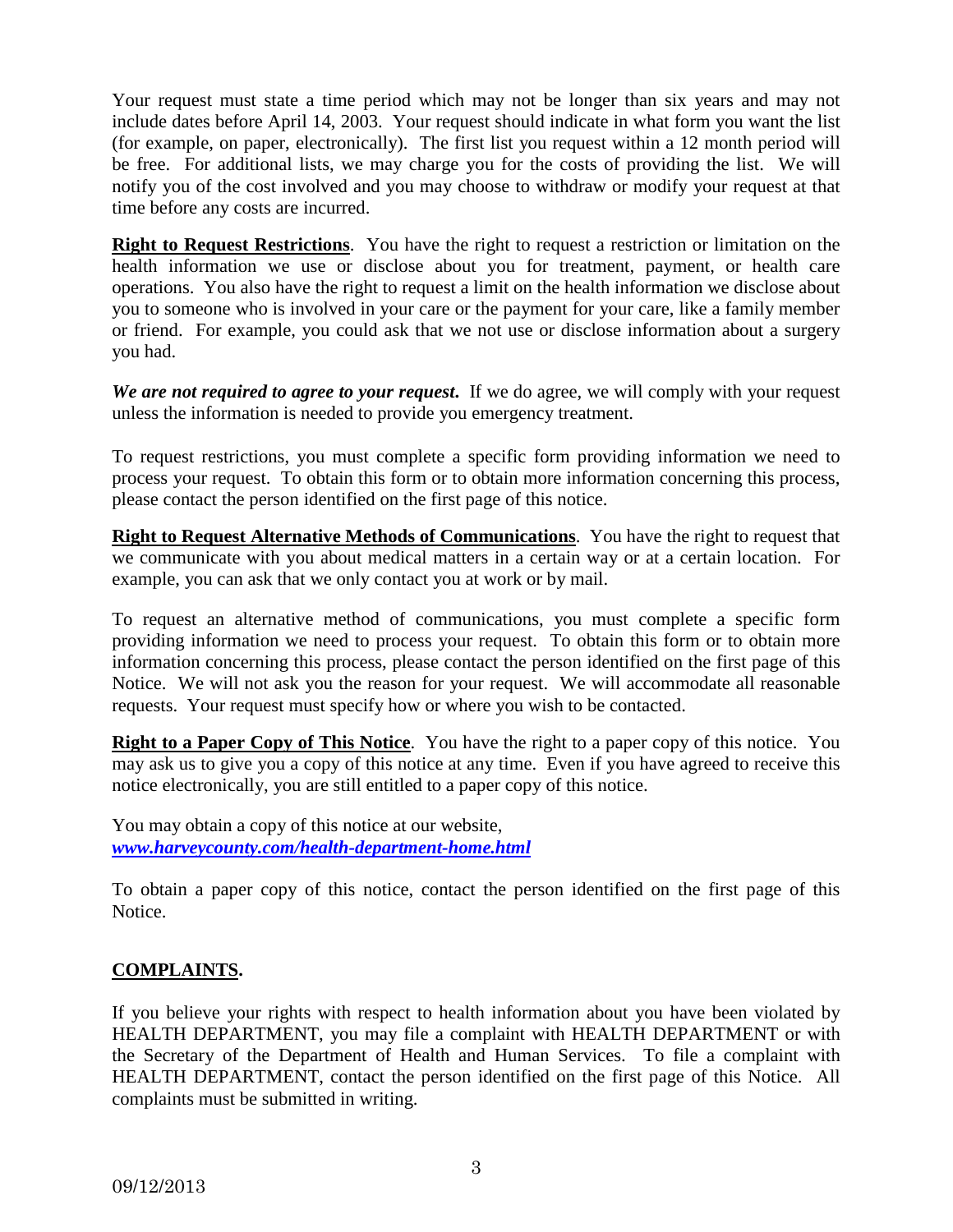Your request must state a time period which may not be longer than six years and may not include dates before April 14, 2003. Your request should indicate in what form you want the list (for example, on paper, electronically). The first list you request within a 12 month period will be free. For additional lists, we may charge you for the costs of providing the list. We will notify you of the cost involved and you may choose to withdraw or modify your request at that time before any costs are incurred.

**Right to Request Restrictions.** You have the right to request a restriction or limitation on the health information we use or disclose about you for treatment, payment, or health care operations. You also have the right to request a limit on the health information we disclose about you to someone who is involved in your care or the payment for your care, like a family member or friend. For example, you could ask that we not use or disclose information about a surgery you had.

*We are not required to agree to your request***.** If we do agree, we will comply with your request unless the information is needed to provide you emergency treatment.

To request restrictions, you must complete a specific form providing information we need to process your request. To obtain this form or to obtain more information concerning this process, please contact the person identified on the first page of this notice.

**Right to Request Alternative Methods of Communications**. You have the right to request that we communicate with you about medical matters in a certain way or at a certain location. For example, you can ask that we only contact you at work or by mail.

To request an alternative method of communications, you must complete a specific form providing information we need to process your request. To obtain this form or to obtain more information concerning this process, please contact the person identified on the first page of this Notice. We will not ask you the reason for your request. We will accommodate all reasonable requests. Your request must specify how or where you wish to be contacted.

**Right to a Paper Copy of This Notice**. You have the right to a paper copy of this notice. You may ask us to give you a copy of this notice at any time. Even if you have agreed to receive this notice electronically, you are still entitled to a paper copy of this notice.

You may obtain a copy of this notice at our website, *[www.harveycounty.com/health-department-home.html](http://www.harveycounty.com/health-department-home.html)*

To obtain a paper copy of this notice, contact the person identified on the first page of this Notice.

#### **COMPLAINTS.**

If you believe your rights with respect to health information about you have been violated by HEALTH DEPARTMENT, you may file a complaint with HEALTH DEPARTMENT or with the Secretary of the Department of Health and Human Services. To file a complaint with HEALTH DEPARTMENT, contact the person identified on the first page of this Notice. All complaints must be submitted in writing.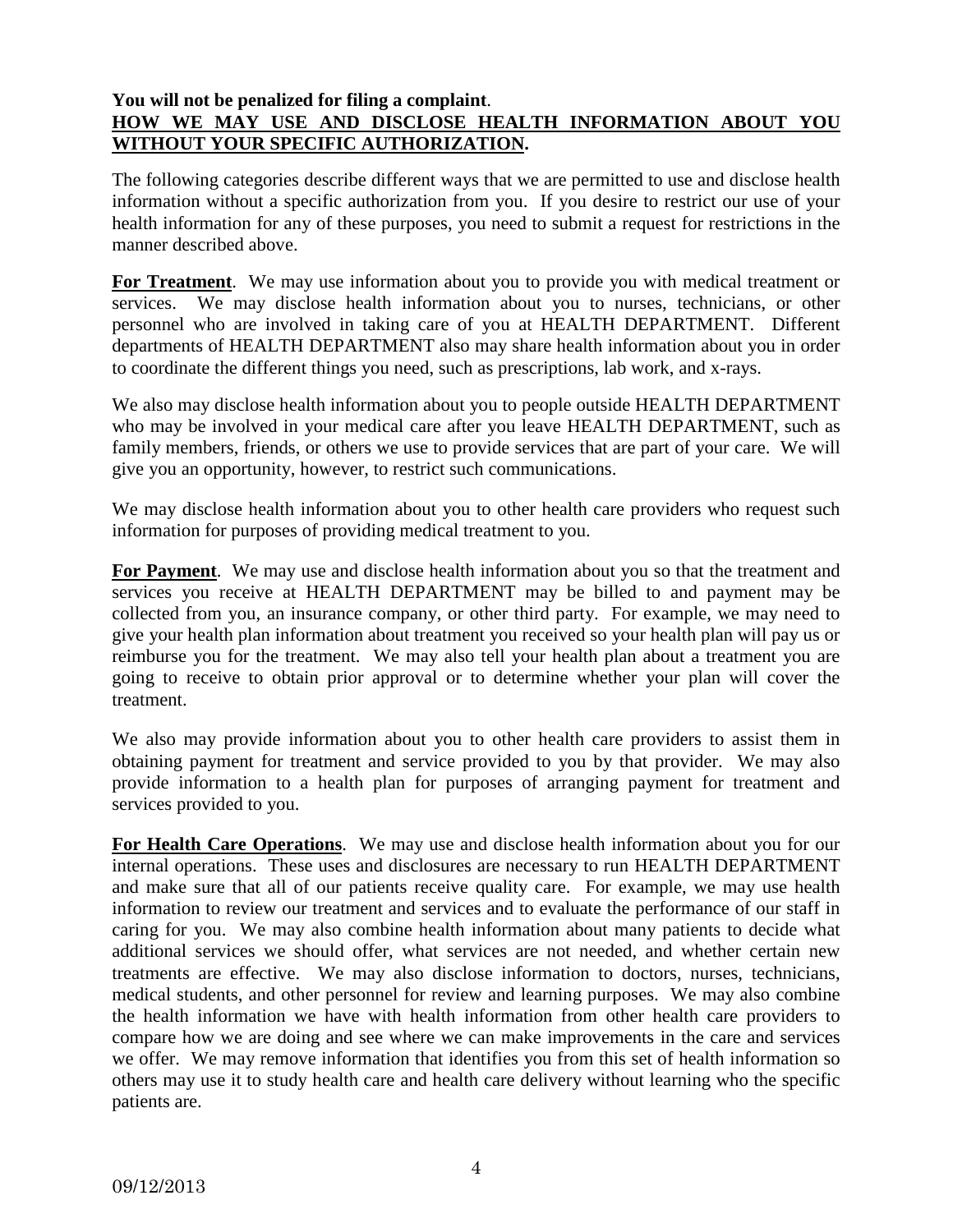#### **You will not be penalized for filing a complaint**. **HOW WE MAY USE AND DISCLOSE HEALTH INFORMATION ABOUT YOU WITHOUT YOUR SPECIFIC AUTHORIZATION.**

The following categories describe different ways that we are permitted to use and disclose health information without a specific authorization from you. If you desire to restrict our use of your health information for any of these purposes, you need to submit a request for restrictions in the manner described above.

**For Treatment**. We may use information about you to provide you with medical treatment or services. We may disclose health information about you to nurses, technicians, or other personnel who are involved in taking care of you at HEALTH DEPARTMENT. Different departments of HEALTH DEPARTMENT also may share health information about you in order to coordinate the different things you need, such as prescriptions, lab work, and x-rays.

We also may disclose health information about you to people outside HEALTH DEPARTMENT who may be involved in your medical care after you leave HEALTH DEPARTMENT, such as family members, friends, or others we use to provide services that are part of your care. We will give you an opportunity, however, to restrict such communications.

We may disclose health information about you to other health care providers who request such information for purposes of providing medical treatment to you.

**For Payment**. We may use and disclose health information about you so that the treatment and services you receive at HEALTH DEPARTMENT may be billed to and payment may be collected from you, an insurance company, or other third party. For example, we may need to give your health plan information about treatment you received so your health plan will pay us or reimburse you for the treatment. We may also tell your health plan about a treatment you are going to receive to obtain prior approval or to determine whether your plan will cover the treatment.

We also may provide information about you to other health care providers to assist them in obtaining payment for treatment and service provided to you by that provider. We may also provide information to a health plan for purposes of arranging payment for treatment and services provided to you.

**For Health Care Operations**. We may use and disclose health information about you for our internal operations. These uses and disclosures are necessary to run HEALTH DEPARTMENT and make sure that all of our patients receive quality care. For example, we may use health information to review our treatment and services and to evaluate the performance of our staff in caring for you. We may also combine health information about many patients to decide what additional services we should offer, what services are not needed, and whether certain new treatments are effective. We may also disclose information to doctors, nurses, technicians, medical students, and other personnel for review and learning purposes. We may also combine the health information we have with health information from other health care providers to compare how we are doing and see where we can make improvements in the care and services we offer. We may remove information that identifies you from this set of health information so others may use it to study health care and health care delivery without learning who the specific patients are.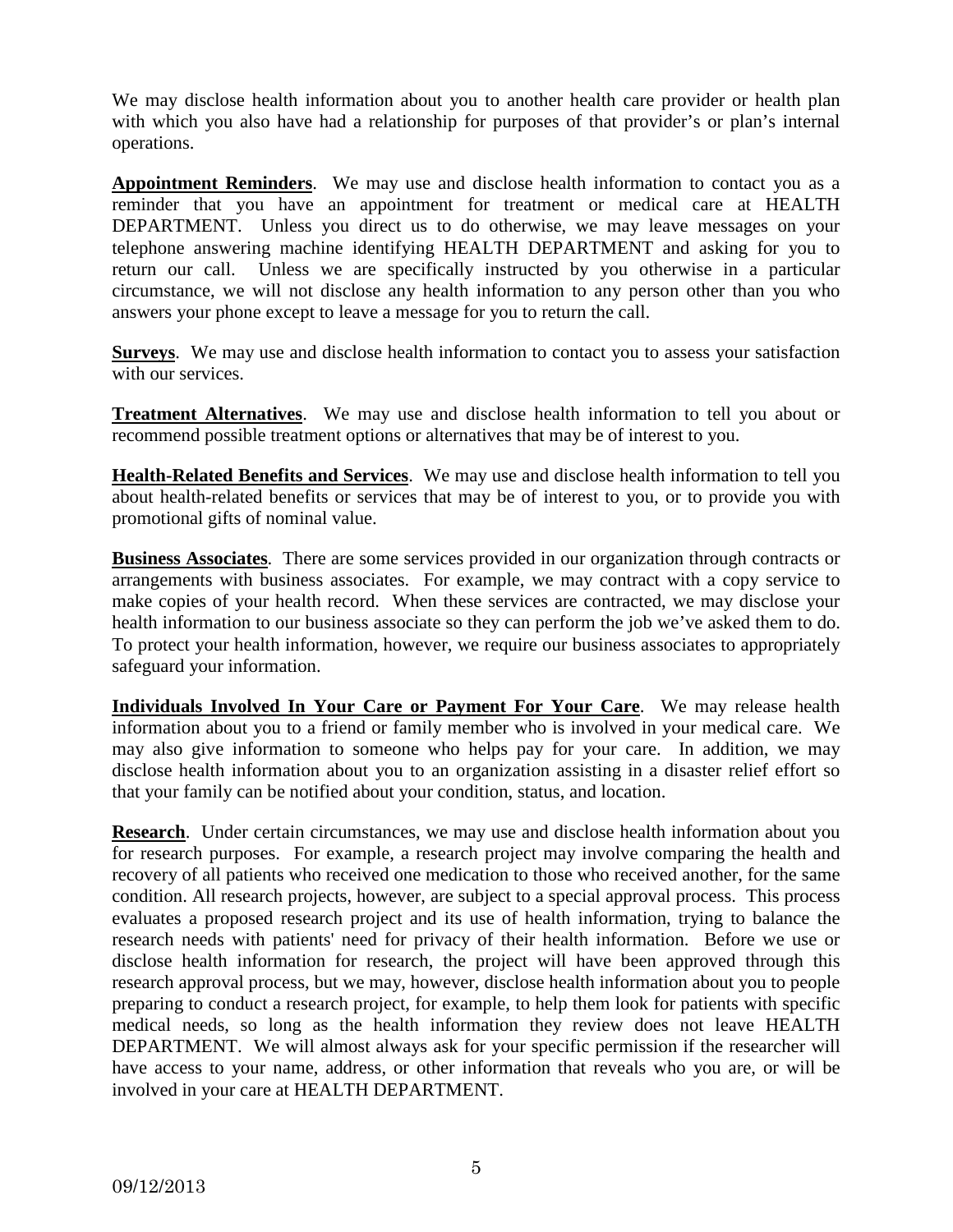We may disclose health information about you to another health care provider or health plan with which you also have had a relationship for purposes of that provider's or plan's internal operations.

**Appointment Reminders**. We may use and disclose health information to contact you as a reminder that you have an appointment for treatment or medical care at HEALTH DEPARTMENT. Unless you direct us to do otherwise, we may leave messages on your telephone answering machine identifying HEALTH DEPARTMENT and asking for you to return our call. Unless we are specifically instructed by you otherwise in a particular circumstance, we will not disclose any health information to any person other than you who answers your phone except to leave a message for you to return the call.

**Surveys**. We may use and disclose health information to contact you to assess your satisfaction with our services.

**Treatment Alternatives**. We may use and disclose health information to tell you about or recommend possible treatment options or alternatives that may be of interest to you.

**Health-Related Benefits and Services**. We may use and disclose health information to tell you about health-related benefits or services that may be of interest to you, or to provide you with promotional gifts of nominal value.

**Business Associates**. There are some services provided in our organization through contracts or arrangements with business associates. For example, we may contract with a copy service to make copies of your health record. When these services are contracted, we may disclose your health information to our business associate so they can perform the job we've asked them to do. To protect your health information, however, we require our business associates to appropriately safeguard your information.

**Individuals Involved In Your Care or Payment For Your Care**. We may release health information about you to a friend or family member who is involved in your medical care. We may also give information to someone who helps pay for your care. In addition, we may disclose health information about you to an organization assisting in a disaster relief effort so that your family can be notified about your condition, status, and location.

**Research**. Under certain circumstances, we may use and disclose health information about you for research purposes. For example, a research project may involve comparing the health and recovery of all patients who received one medication to those who received another, for the same condition. All research projects, however, are subject to a special approval process. This process evaluates a proposed research project and its use of health information, trying to balance the research needs with patients' need for privacy of their health information. Before we use or disclose health information for research, the project will have been approved through this research approval process, but we may, however, disclose health information about you to people preparing to conduct a research project, for example, to help them look for patients with specific medical needs, so long as the health information they review does not leave HEALTH DEPARTMENT. We will almost always ask for your specific permission if the researcher will have access to your name, address, or other information that reveals who you are, or will be involved in your care at HEALTH DEPARTMENT.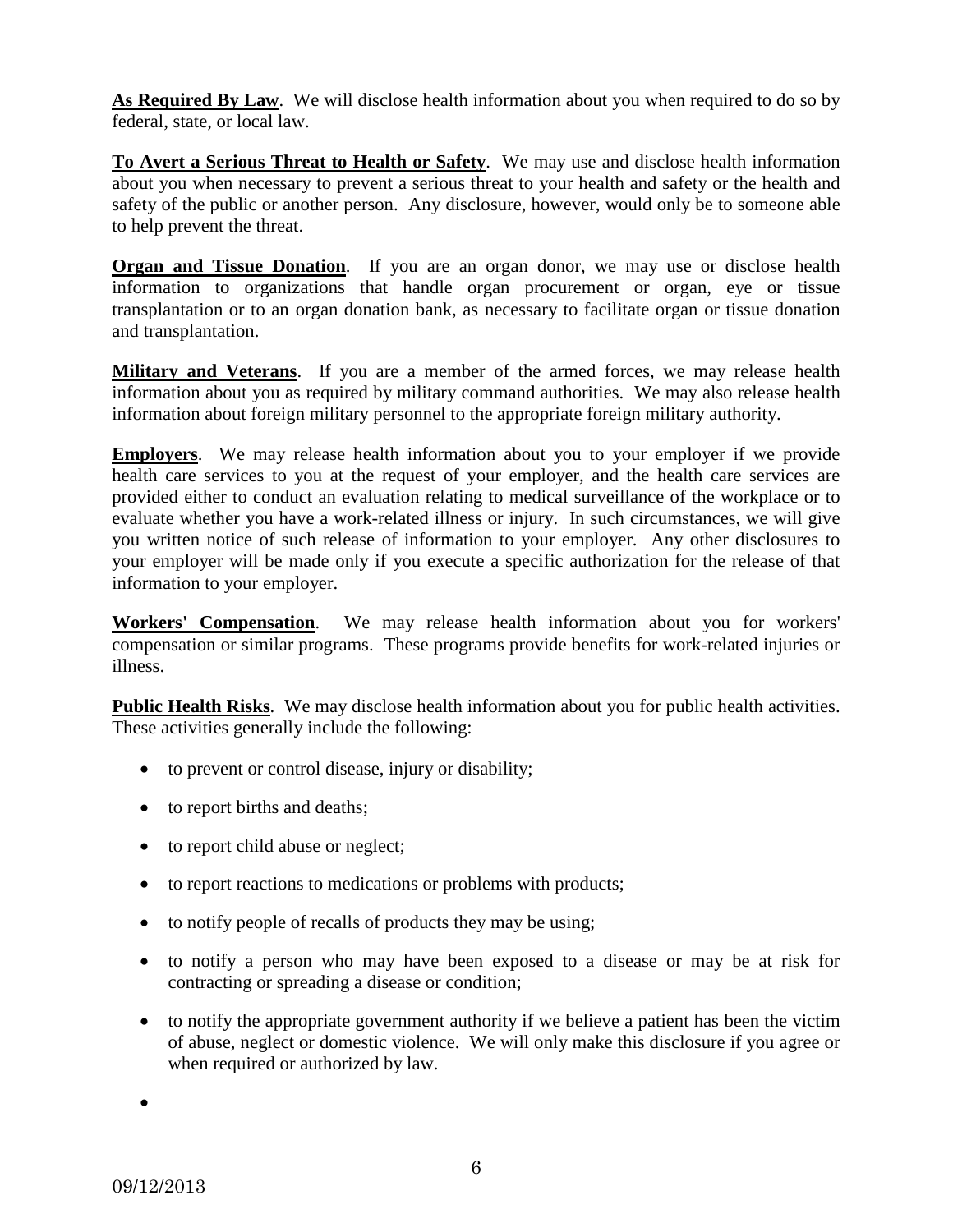**As Required By Law**. We will disclose health information about you when required to do so by federal, state, or local law.

**To Avert a Serious Threat to Health or Safety**. We may use and disclose health information about you when necessary to prevent a serious threat to your health and safety or the health and safety of the public or another person. Any disclosure, however, would only be to someone able to help prevent the threat.

**Organ and Tissue Donation**. If you are an organ donor, we may use or disclose health information to organizations that handle organ procurement or organ, eye or tissue transplantation or to an organ donation bank, as necessary to facilitate organ or tissue donation and transplantation.

**Military and Veterans**. If you are a member of the armed forces, we may release health information about you as required by military command authorities. We may also release health information about foreign military personnel to the appropriate foreign military authority.

**Employers**. We may release health information about you to your employer if we provide health care services to you at the request of your employer, and the health care services are provided either to conduct an evaluation relating to medical surveillance of the workplace or to evaluate whether you have a work-related illness or injury. In such circumstances, we will give you written notice of such release of information to your employer. Any other disclosures to your employer will be made only if you execute a specific authorization for the release of that information to your employer.

**Workers' Compensation**. We may release health information about you for workers' compensation or similar programs. These programs provide benefits for work-related injuries or illness.

**Public Health Risks**. We may disclose health information about you for public health activities. These activities generally include the following:

- to prevent or control disease, injury or disability;
- to report births and deaths;
- to report child abuse or neglect;
- to report reactions to medications or problems with products;
- to notify people of recalls of products they may be using;
- to notify a person who may have been exposed to a disease or may be at risk for contracting or spreading a disease or condition;
- to notify the appropriate government authority if we believe a patient has been the victim of abuse, neglect or domestic violence. We will only make this disclosure if you agree or when required or authorized by law.

•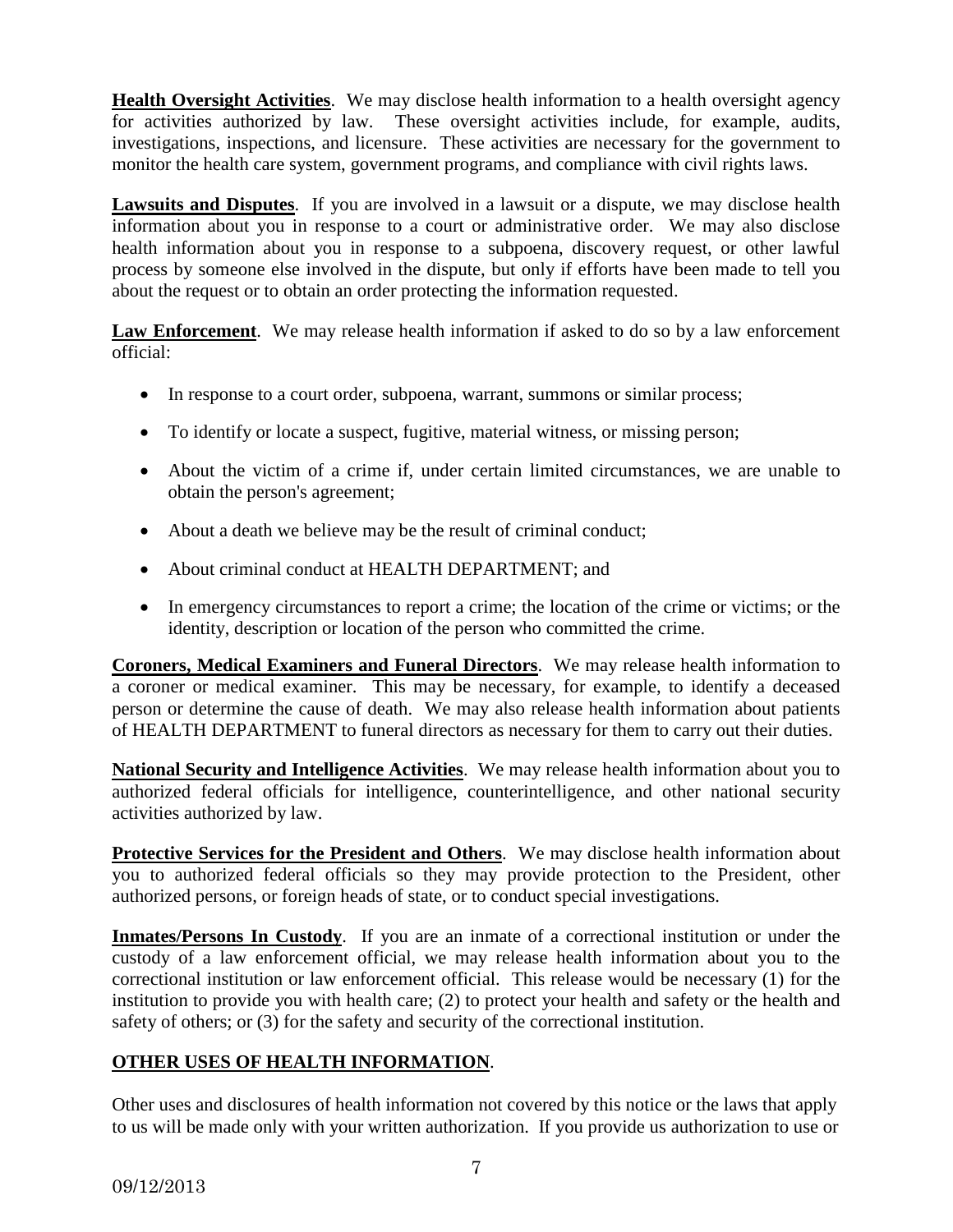**Health Oversight Activities**. We may disclose health information to a health oversight agency for activities authorized by law. These oversight activities include, for example, audits, investigations, inspections, and licensure. These activities are necessary for the government to monitor the health care system, government programs, and compliance with civil rights laws.

**Lawsuits and Disputes**. If you are involved in a lawsuit or a dispute, we may disclose health information about you in response to a court or administrative order. We may also disclose health information about you in response to a subpoena, discovery request, or other lawful process by someone else involved in the dispute, but only if efforts have been made to tell you about the request or to obtain an order protecting the information requested.

**Law Enforcement**. We may release health information if asked to do so by a law enforcement official:

- In response to a court order, subpoena, warrant, summons or similar process;
- To identify or locate a suspect, fugitive, material witness, or missing person;
- About the victim of a crime if, under certain limited circumstances, we are unable to obtain the person's agreement;
- About a death we believe may be the result of criminal conduct;
- About criminal conduct at HEALTH DEPARTMENT; and
- In emergency circumstances to report a crime; the location of the crime or victims; or the identity, description or location of the person who committed the crime.

**Coroners, Medical Examiners and Funeral Directors**. We may release health information to a coroner or medical examiner. This may be necessary, for example, to identify a deceased person or determine the cause of death. We may also release health information about patients of HEALTH DEPARTMENT to funeral directors as necessary for them to carry out their duties.

**National Security and Intelligence Activities**. We may release health information about you to authorized federal officials for intelligence, counterintelligence, and other national security activities authorized by law.

**Protective Services for the President and Others**. We may disclose health information about you to authorized federal officials so they may provide protection to the President, other authorized persons, or foreign heads of state, or to conduct special investigations.

**Inmates/Persons In Custody**. If you are an inmate of a correctional institution or under the custody of a law enforcement official, we may release health information about you to the correctional institution or law enforcement official. This release would be necessary (1) for the institution to provide you with health care; (2) to protect your health and safety or the health and safety of others; or (3) for the safety and security of the correctional institution.

# **OTHER USES OF HEALTH INFORMATION**.

Other uses and disclosures of health information not covered by this notice or the laws that apply to us will be made only with your written authorization. If you provide us authorization to use or